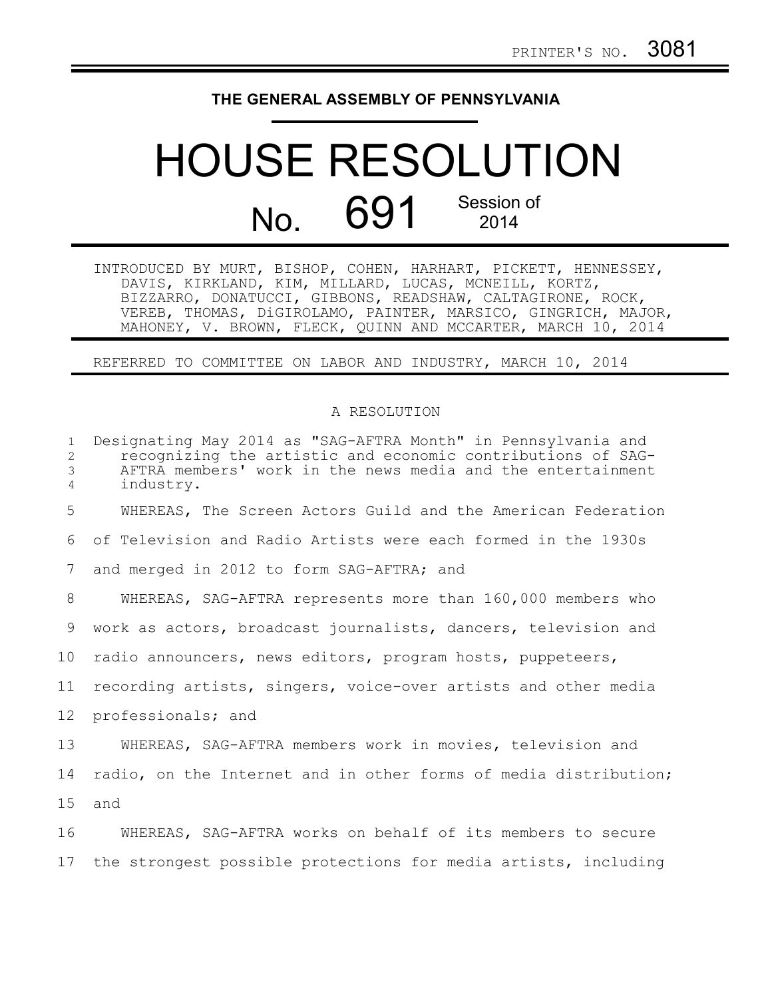## **THE GENERAL ASSEMBLY OF PENNSYLVANIA**

## HOUSE RESOLUTION No. 691 Session of 2014

INTRODUCED BY MURT, BISHOP, COHEN, HARHART, PICKETT, HENNESSEY, DAVIS, KIRKLAND, KIM, MILLARD, LUCAS, MCNEILL, KORTZ, BIZZARRO, DONATUCCI, GIBBONS, READSHAW, CALTAGIRONE, ROCK, VEREB, THOMAS, DiGIROLAMO, PAINTER, MARSICO, GINGRICH, MAJOR, MAHONEY, V. BROWN, FLECK, QUINN AND MCCARTER, MARCH 10, 2014

REFERRED TO COMMITTEE ON LABOR AND INDUSTRY, MARCH 10, 2014

## A RESOLUTION

| $\mathbf{1}$<br>2<br>3<br>4 | Designating May 2014 as "SAG-AFTRA Month" in Pennsylvania and<br>recognizing the artistic and economic contributions of SAG-<br>AFTRA members' work in the news media and the entertainment<br>industry. |
|-----------------------------|----------------------------------------------------------------------------------------------------------------------------------------------------------------------------------------------------------|
| 5                           | WHEREAS, The Screen Actors Guild and the American Federation                                                                                                                                             |
| 6                           | of Television and Radio Artists were each formed in the 1930s                                                                                                                                            |
| 7                           | and merged in 2012 to form SAG-AFTRA; and                                                                                                                                                                |
| 8                           | WHEREAS, SAG-AFTRA represents more than 160,000 members who                                                                                                                                              |
| 9                           | work as actors, broadcast journalists, dancers, television and                                                                                                                                           |
| 10                          | radio announcers, news editors, program hosts, puppeteers,                                                                                                                                               |
| 11                          | recording artists, singers, voice-over artists and other media                                                                                                                                           |
| 12                          | professionals; and                                                                                                                                                                                       |
| 13                          | WHEREAS, SAG-AFTRA members work in movies, television and                                                                                                                                                |
| 14                          | radio, on the Internet and in other forms of media distribution;                                                                                                                                         |
| 15                          | and                                                                                                                                                                                                      |
| 16                          | WHEREAS, SAG-AFTRA works on behalf of its members to secure                                                                                                                                              |

17 the strongest possible protections for media artists, including